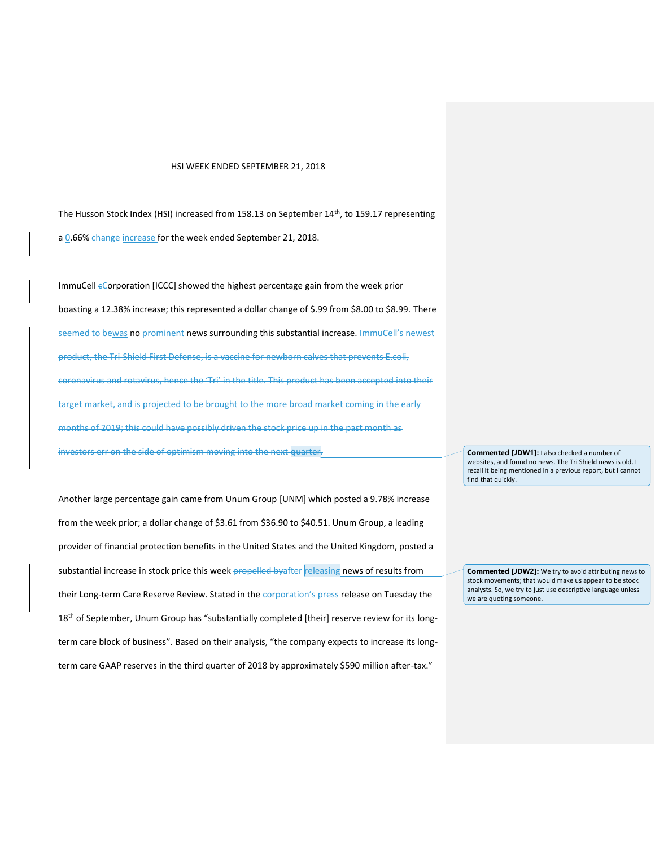## HSI WEEK ENDED SEPTEMBER 21, 2018

The Husson Stock Index (HSI) increased from 158.13 on September 14<sup>th</sup>, to 159.17 representing a 0.66% change increase for the week ended September 21, 2018.

ImmuCell  $\epsilon$ Corporation [ICCC] showed the highest percentage gain from the week prior boasting a 12.38% increase; this represented a dollar change of \$.99 from \$8.00 to \$8.99. There seemed to bewas no prominent news surrounding this substantial increase. ImmuCell's newest product, the Tri-Shield First Defense, is a vaccine for newborn calves that prevents E.coli, coronavirus and rotavirus, hence the 'Tri' in the title. This product has been accepted into their target market, and is projected to be brought to the more broad market coming in the early months of 2019; this could have possibly driven the stock price up in the past month as investors err on the side of optimism moving into the next quarter.

Another large percentage gain came from Unum Group [UNM] which posted a 9.78% increase from the week prior; a dollar change of \$3.61 from \$36.90 to \$40.51. Unum Group, a leading provider of financial protection benefits in the United States and the United Kingdom, posted a substantial increase in stock price this week **propelled byafter** releasing news of results from their Long-term Care Reserve Review. Stated in the **corporation's press** release on Tuesday the 18<sup>th</sup> of September, Unum Group has "substantially completed [their] reserve review for its longterm care block of business". Based on their analysis, "the company expects to increase its longterm care GAAP reserves in the third quarter of 2018 by approximately \$590 million after-tax."

**Commented [JDW1]:** I also checked a number of websites, and found no news. The Tri Shield news is old. I recall it being mentioned in a previous report, but I cannot find that quickly.

**Commented [JDW2]:** We try to avoid attributing news to stock movements; that would make us appear to be stock analysts. So, we try to just use descriptive language unless we are quoting someone.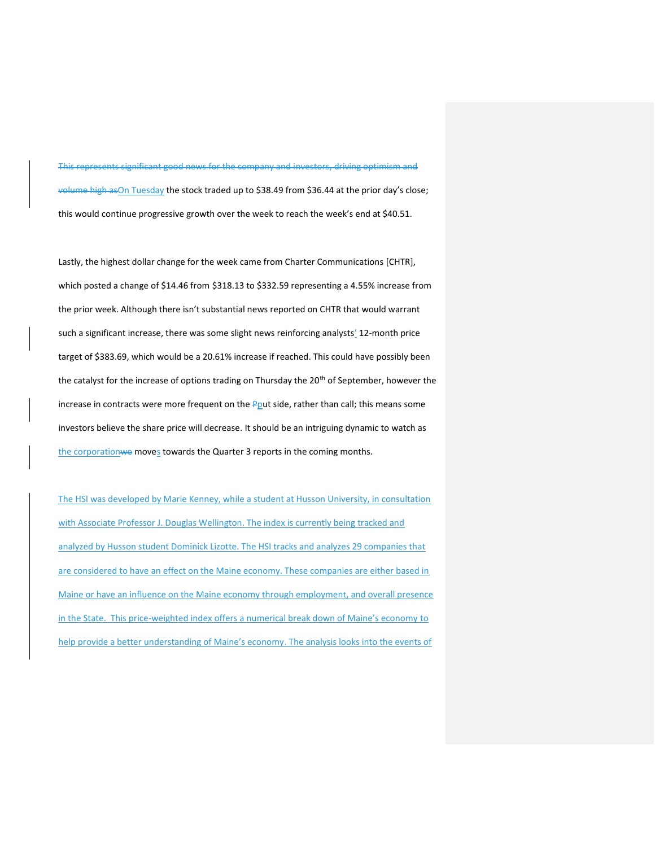This represents significant good news for the company and investors, driving optimism and volume high as On Tuesday the stock traded up to \$38.49 from \$36.44 at the prior day's close; this would continue progressive growth over the week to reach the week's end at \$40.51.

Lastly, the highest dollar change for the week came from Charter Communications [CHTR], which posted a change of \$14.46 from \$318.13 to \$332.59 representing a 4.55% increase from the prior week. Although there isn't substantial news reported on CHTR that would warrant such a significant increase, there was some slight news reinforcing analysts' 12-month price target of \$383.69, which would be a 20.61% increase if reached. This could have possibly been the catalyst for the increase of options trading on Thursday the 20<sup>th</sup> of September, however the increase in contracts were more frequent on the Pout side, rather than call; this means some investors believe the share price will decrease. It should be an intriguing dynamic to watch as the corporationwe moves towards the Quarter 3 reports in the coming months.

The HSI was developed by Marie Kenney, while a student at Husson University, in consultation with Associate Professor J. Douglas Wellington. The index is currently being tracked and analyzed by Husson student Dominick Lizotte. The HSI tracks and analyzes 29 companies that are considered to have an effect on the Maine economy. These companies are either based in Maine or have an influence on the Maine economy through employment, and overall presence in the State. This price-weighted index offers a numerical break down of Maine's economy to help provide a better understanding of Maine's economy. The analysis looks into the events of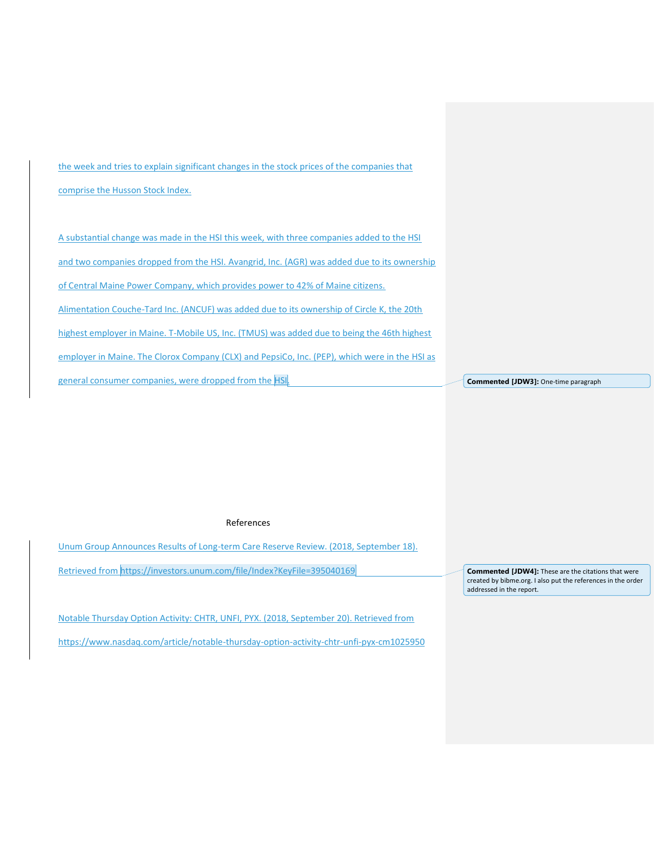the week and tries to explain significant changes in the stock prices of the companies that comprise the Husson Stock Index.

A substantial change was made in the HSI this week, with three companies added to the HSI and two companies dropped from the HSI. Avangrid, Inc. (AGR) was added due to its ownership of Central Maine Power Company, which provides power to 42% of Maine citizens. Alimentation Couche-Tard Inc. (ANCUF) was added due to its ownership of Circle K, the 20th highest employer in Maine. T-Mobile US, Inc. (TMUS) was added due to being the 46th highest employer in Maine. The Clorox Company (CLX) and PepsiCo, Inc. (PEP), which were in the HSI as general consumer companies, were dropped from the HSI.

**Commented [JDW3]:** One-time paragraph

## References

Unum Group Announces Results of Long-term Care Reserve Review. (2018, September 18).

Retrieved from<https://investors.unum.com/file/Index?KeyFile=395040169>

Notable Thursday Option Activity: CHTR, UNFI, PYX. (2018, September 20). Retrieved from <https://www.nasdaq.com/article/notable-thursday-option-activity-chtr-unfi-pyx-cm1025950>

**Commented [JDW4]:** These are the citations that were created by bibme.org. I also put the references in the order addressed in the report.